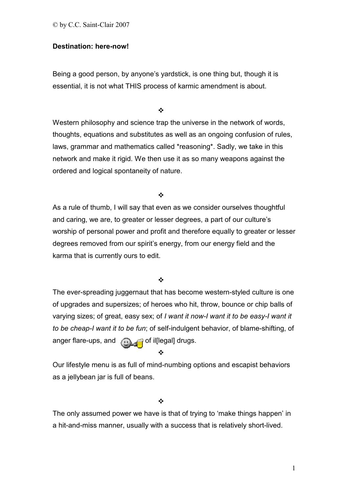© by C.C. Saint-Clair 2007

# **Destination: here-now!**

Being a good person, by anyone's yardstick, is one thing but, though it is essential, it is not what THIS process of karmic amendment is about.

 $\frac{1}{2}$ 

Western philosophy and science trap the universe in the network of words, thoughts, equations and substitutes as well as an ongoing confusion of rules, laws, grammar and mathematics called \*reasoning\*. Sadly, we take in this network and make it rigid. We then use it as so many weapons against the ordered and logical spontaneity of nature.

 $\frac{1}{2}$ 

As a rule of thumb, I will say that even as we consider ourselves thoughtful and caring, we are, to greater or lesser degrees, a part of our culture's worship of personal power and profit and therefore equally to greater or lesser degrees removed from our spirit's energy, from our energy field and the karma that is currently ours to edit.

 $\frac{1}{2}$ 

The ever-spreading juggernaut that has become western-styled culture is one of upgrades and supersizes; of heroes who hit, throw, bounce or chip balls of varying sizes; of great, easy sex; of *I want it now-I want it to be easy-I want it to be cheap-I want it to be fun*; of self-indulgent behavior, of blame-shifting, of anger flare-ups, and  $\bigcap_{n\in\mathbb{N}}$  of illegal] drugs.

❖

Our lifestyle menu is as full of mind-numbing options and escapist behaviors as a jellybean jar is full of beans.

 $\frac{1}{2}$ 

The only assumed power we have is that of trying to 'make things happen' in a hit-and-miss manner, usually with a success that is relatively short-lived.

1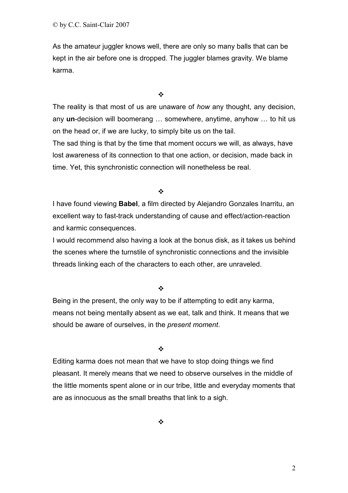As the amateur juggler knows well, there are only so many balls that can be kept in the air before one is dropped. The juggler blames gravity. We blame karma.

 $\frac{1}{2}$ 

The reality is that most of us are unaware of *how* any thought, any decision, any **un**-decision will boomerang … somewhere, anytime, anyhow … to hit us on the head or, if we are lucky, to simply bite us on the tail.

The sad thing is that by the time that moment occurs we will, as always, have lost awareness of its connection to that one action, or decision, made back in time. Yet, this synchronistic connection will nonetheless be real.

 $\frac{1}{2}$ 

I have found viewing **Babel**, a film directed by Alejandro Gonzales Inarritu, an excellent way to fast-track understanding of cause and effect/action-reaction and karmic consequences.

I would recommend also having a look at the bonus disk, as it takes us behind the scenes where the turnstile of synchronistic connections and the invisible threads linking each of the characters to each other, are unraveled.

 $\bullet^{\bullet}_{\mathbf{a}^{\bullet}}$ 

Being in the present, the only way to be if attempting to edit any karma, means not being mentally absent as we eat, talk and think. It means that we should be aware of ourselves, in the *present moment*.

 $\frac{1}{2}$ 

Editing karma does not mean that we have to stop doing things we find pleasant. It merely means that we need to observe ourselves in the middle of the little moments spent alone or in our tribe, little and everyday moments that are as innocuous as the small breaths that link to a sigh.

 $\cdot$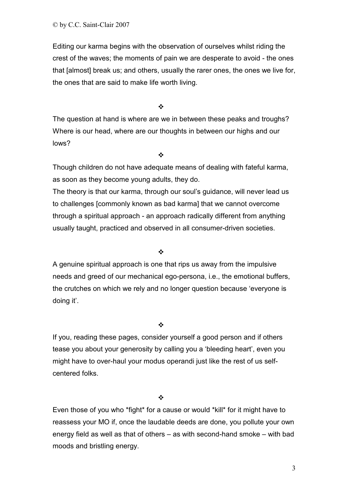Editing our karma begins with the observation of ourselves whilst riding the crest of the waves; the moments of pain we are desperate to avoid - the ones that [almost] break us; and others, usually the rarer ones, the ones we live for, the ones that are said to make life worth living.

 $\frac{1}{2}$ 

The question at hand is where are we in between these peaks and troughs? Where is our head, where are our thoughts in between our highs and our lows?

 $\frac{1}{2}$ 

Though children do not have adequate means of dealing with fateful karma, as soon as they become young adults, they do.

The theory is that our karma, through our soul's guidance, will never lead us to challenges [commonly known as bad karma] that we cannot overcome through a spiritual approach - an approach radically different from anything usually taught, practiced and observed in all consumer-driven societies.

 $\bullet^{\bullet}_{\bullet} \bullet$ 

A genuine spiritual approach is one that rips us away from the impulsive needs and greed of our mechanical ego-persona, i.e., the emotional buffers, the crutches on which we rely and no longer question because 'everyone is doing it'.

 $\frac{1}{2}$ 

If you, reading these pages, consider yourself a good person and if others tease you about your generosity by calling you a 'bleeding heart', even you might have to over-haul your modus operandi just like the rest of us selfcentered folks.

 $\frac{1}{2}$ 

Even those of you who \*fight\* for a cause or would \*kill\* for it might have to reassess your MO if, once the laudable deeds are done, you pollute your own energy field as well as that of others – as with second-hand smoke – with bad moods and bristling energy.

3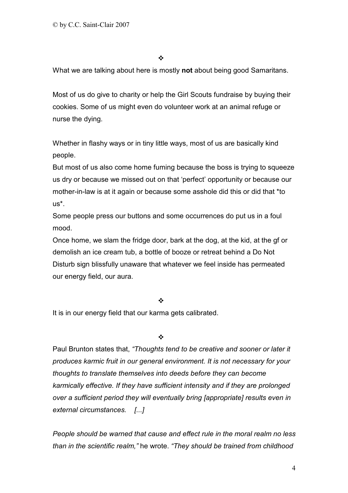$\frac{1}{2}$ 

What we are talking about here is mostly **not** about being good Samaritans.

Most of us do give to charity or help the Girl Scouts fundraise by buying their cookies. Some of us might even do volunteer work at an animal refuge or nurse the dying.

Whether in flashy ways or in tiny little ways, most of us are basically kind people.

But most of us also come home fuming because the boss is trying to squeeze us dry or because we missed out on that 'perfect' opportunity or because our mother-in-law is at it again or because some asshole did this or did that \*to us\*.

Some people press our buttons and some occurrences do put us in a foul mood.

Once home, we slam the fridge door, bark at the dog, at the kid, at the gf or demolish an ice cream tub, a bottle of booze or retreat behind a Do Not Disturb sign blissfully unaware that whatever we feel inside has permeated our energy field, our aura.

 $\frac{1}{2}$ 

It is in our energy field that our karma gets calibrated.

 $\frac{1}{2}$ 

Paul Brunton states that, *"Thoughts tend to be creative and sooner or later it produces karmic fruit in our general environment. It is not necessary for your thoughts to translate themselves into deeds before they can become karmically effective. If they have sufficient intensity and if they are prolonged over a sufficient period they will eventually bring [appropriate] results even in external circumstances. [...]*

*People should be warned that cause and effect rule in the moral realm no less than in the scientific realm,"* he wrote. *"They should be trained from childhood*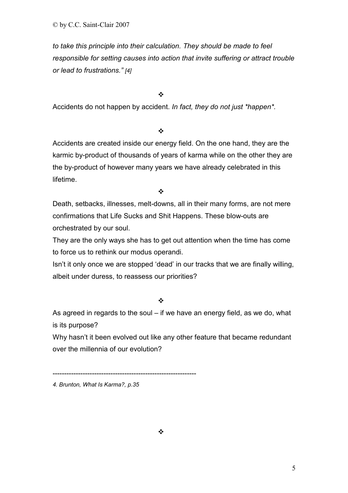*to take this principle into their calculation. They should be made to feel responsible for setting causes into action that invite suffering or attract trouble or lead to frustrations." [4]*

 $\frac{1}{2}$ 

Accidents do not happen by accident. *In fact, they do not just \*happen\*.* 

 $\frac{1}{2}$ 

Accidents are created inside our energy field. On the one hand, they are the karmic by-product of thousands of years of karma while on the other they are the by-product of however many years we have already celebrated in this lifetime.

 $\frac{1}{2}$ 

Death, setbacks, illnesses, melt-downs, all in their many forms, are not mere confirmations that Life Sucks and Shit Happens. These blow-outs are orchestrated by our soul.

They are the only ways she has to get out attention when the time has come to force us to rethink our modus operandi.

Isn't it only once we are stopped 'dead' in our tracks that we are finally willing, albeit under duress, to reassess our priorities?

 $\bullet^{\bullet}_{\bullet} \bullet$ 

As agreed in regards to the soul – if we have an energy field, as we do, what is its purpose?

Why hasn't it been evolved out like any other feature that became redundant over the millennia of our evolution?

--------------------------------------------------------------

*<sup>4.</sup> Brunton, What Is Karma?, p.35*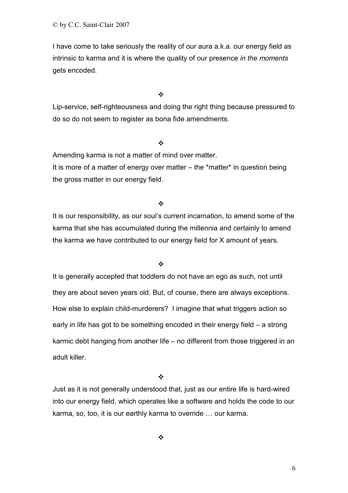© by C.C. Saint-Clair 2007

I have come to take seriously the reality of our aura a.k.a. our energy field as intrinsic to karma and it is where the quality of our presence *in the moments* gets encoded.

 $\frac{1}{2}$ 

Lip-service, self-righteousness and doing the right thing because pressured to do so do not seem to register as bona fide amendments.

#### $\frac{1}{2}$

Amending karma is not a matter of mind over matter.

It is more of a matter of energy over matter – the \*matter\* in question being the gross matter in our energy field.

 $\frac{1}{2}$ 

It is our responsibility, as our soul's current incarnation, to amend some of the karma that she has accumulated during the millennia and certainly to amend the karma we have contributed to our energy field for X amount of years.

#### $\frac{1}{2}$

It is generally accepted that toddlers do not have an ego as such, not until they are about seven years old. But, of course, there are always exceptions. How else to explain child-murderers? I imagine that what triggers action so early in life has got to be something encoded in their energy field – a strong karmic debt hanging from another life – no different from those triggered in an adult killer.

 $\frac{1}{2}$ 

Just as it is not generally understood that, just as our entire life is hard-wired into our energy field, which operates like a software and holds the code to our karma, so, too, it is our earthly karma to override … our karma.

 $\bullet^{\bullet}_{\bullet} \bullet$ 

 $\sim$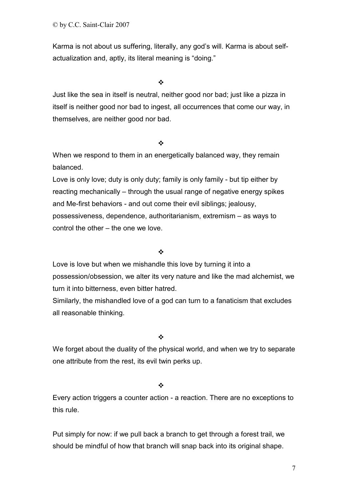© by C.C. Saint-Clair 2007

Karma is not about us suffering, literally, any god's will. Karma is about selfactualization and, aptly, its literal meaning is "doing."

 $\bullet^{\bullet}_{\bullet} \bullet$ 

Just like the sea in itself is neutral, neither good nor bad; just like a pizza in itself is neither good nor bad to ingest, all occurrences that come our way, in themselves, are neither good nor bad.

#### $\bullet^{\bullet}_{\bullet} \bullet$

When we respond to them in an energetically balanced way, they remain balanced.

Love is only love; duty is only duty; family is only family - but tip either by reacting mechanically – through the usual range of negative energy spikes and Me-first behaviors - and out come their evil siblings; jealousy, possessiveness, dependence, authoritarianism, extremism – as ways to control the other – the one we love.

## $\frac{1}{2}$

Love is love but when we mishandle this love by turning it into a possession/obsession, we alter its very nature and like the mad alchemist, we turn it into bitterness, even bitter hatred.

Similarly, the mishandled love of a god can turn to a fanaticism that excludes all reasonable thinking.

 $\frac{1}{2}$ 

We forget about the duality of the physical world, and when we try to separate one attribute from the rest, its evil twin perks up.

 $\bullet^{\bullet}_{\bullet} \bullet$ 

Every action triggers a counter action - a reaction. There are no exceptions to this rule.

Put simply for now: if we pull back a branch to get through a forest trail, we should be mindful of how that branch will snap back into its original shape.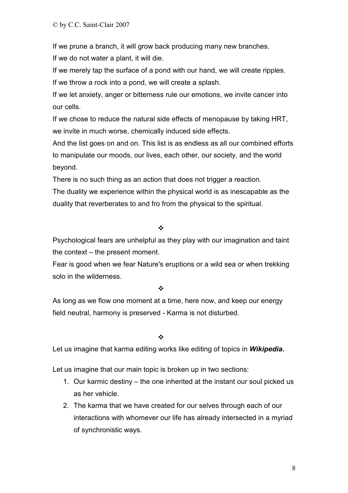If we prune a branch, it will grow back producing many new branches. If we do not water a plant, it will die.

If we merely tap the surface of a pond with our hand, we will create ripples. If we throw a rock into a pond, we will create a splash.

If we let anxiety, anger or bitterness rule our emotions, we invite cancer into our cells.

If we chose to reduce the natural side effects of menopause by taking HRT, we invite in much worse, chemically induced side effects.

And the list goes on and on. This list is as endless as all our combined efforts to manipulate our moods, our lives, each other, our society, and the world beyond.

There is no such thing as an action that does not trigger a reaction.

The duality we experience within the physical world is as inescapable as the duality that reverberates to and fro from the physical to the spiritual.

## $\ddot{\cdot}$

Psychological fears are unhelpful as they play with our imagination and taint the context – the present moment.

Fear is good when we fear Nature's eruptions or a wild sea or when trekking solo in the wilderness.

## $\bullet^{\bullet}_{\mathbf{a}^{\bullet}}$

As long as we flow one moment at a time, here now, and keep our energy field neutral, harmony is preserved - Karma is not disturbed.

 $\frac{1}{2}$ 

Let us imagine that karma editing works like editing of topics in *Wikipedia.*

Let us imagine that our main topic is broken up in two sections:

- 1. Our karmic destiny the one inherited at the instant our soul picked us as her vehicle.
- 2. The karma that we have created for our selves through each of our interactions with whomever our life has already intersected in a myriad of synchronistic ways.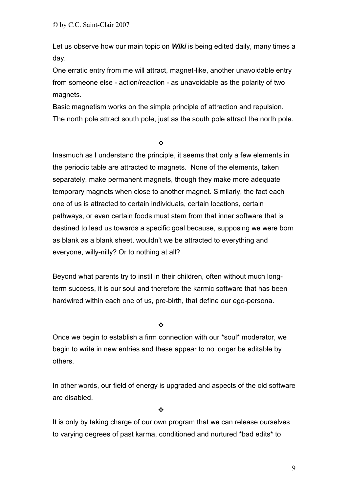Let us observe how our main topic on *Wiki* is being edited daily, many times a day.

One erratic entry from me will attract, magnet-like, another unavoidable entry from someone else - action/reaction - as unavoidable as the polarity of two magnets.

Basic magnetism works on the simple principle of attraction and repulsion. The north pole attract south pole, just as the south pole attract the north pole.

 $\frac{1}{2}$ 

Inasmuch as I understand the principle, it seems that only a few elements in the periodic table are attracted to magnets. None of the elements, taken separately, make permanent magnets, though they make more adequate temporary magnets when close to another magnet. Similarly, the fact each one of us is attracted to certain individuals, certain locations, certain pathways, or even certain foods must stem from that inner software that is destined to lead us towards a specific goal because, supposing we were born as blank as a blank sheet, wouldn't we be attracted to everything and everyone, willy-nilly? Or to nothing at all?

Beyond what parents try to instil in their children, often without much longterm success, it is our soul and therefore the karmic software that has been hardwired within each one of us, pre-birth, that define our ego-persona.

 $\frac{1}{2}$ 

Once we begin to establish a firm connection with our \*soul\* moderator, we begin to write in new entries and these appear to no longer be editable by others.

In other words, our field of energy is upgraded and aspects of the old software are disabled.

 $\frac{1}{2}$ 

It is only by taking charge of our own program that we can release ourselves to varying degrees of past karma, conditioned and nurtured \*bad edits\* to

9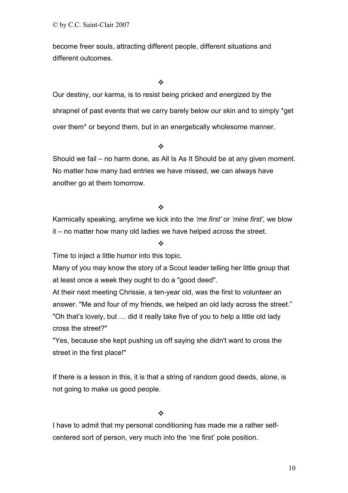become freer souls, attracting different people, different situations and different outcomes.

 $\frac{1}{2}$ 

Our destiny, our karma, is to resist being pricked and energized by the shrapnel of past events that we carry barely below our skin and to simply \*get over them\* or beyond them, but in an energetically wholesome manner.

 $\frac{1}{2}$ 

Should we fail – no harm done, as All Is As It Should be at any given moment. No matter how many bad entries we have missed, we can always have another go at them tomorrow.

# ❖

Karmically speaking, anytime we kick into the *'me first'* or *'mine first',* we blow it – no matter how many old ladies we have helped across the street.

# ❖

Time to inject a little humor into this topic.

Many of you may know the story of a Scout leader telling her little group that at least once a week they ought to do a "good deed".

At their next meeting Chrissie, a ten-year old, was the first to volunteer an answer. "Me and four of my friends, we helped an old lady across the street." "Oh that's lovely, but … did it really take five of you to help a little old lady cross the street?"

"Yes, because she kept pushing us off saying she didn't want to cross the street in the first place!"

If there is a lesson in this, it is that a string of random good deeds, alone, is not going to make us good people.

 $\frac{1}{2}$ 

I have to admit that my personal conditioning has made me a rather selfcentered sort of person, very much into the 'me first' pole position.